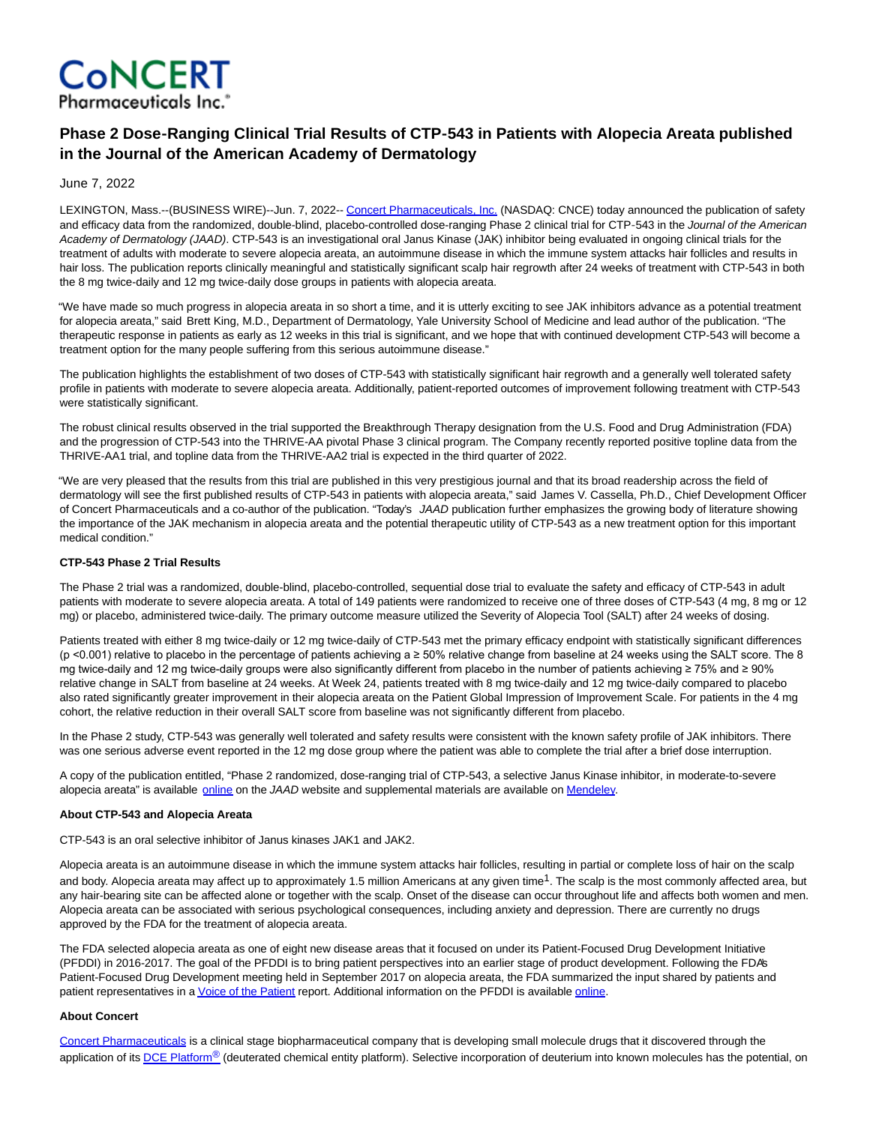

# **Phase 2 Dose‑Ranging Clinical Trial Results of CTP‑543 in Patients with Alopecia Areata published in the Journal of the American Academy of Dermatology**

June 7, 2022

LEXINGTON, Mass.--(BUSINESS WIRE)--Jun. 7, 2022-- [Concert Pharmaceuticals, Inc. \(](https://cts.businesswire.com/ct/CT?id=smartlink&url=http%3A%2F%2Fwww.concertpharma.com&esheet=52741438&newsitemid=20220607005334&lan=en-US&anchor=Concert+Pharmaceuticals%2C+Inc.&index=1&md5=ca36e6db306fbbea23256c69d740d333)NASDAQ: CNCE) today announced the publication of safety and efficacy data from the randomized, double-blind, placebo-controlled dose-ranging Phase 2 clinical trial for CTP-543 in the Journal of the American Academy of Dermatology (JAAD). CTP-543 is an investigational oral Janus Kinase (JAK) inhibitor being evaluated in ongoing clinical trials for the treatment of adults with moderate to severe alopecia areata, an autoimmune disease in which the immune system attacks hair follicles and results in hair loss. The publication reports clinically meaningful and statistically significant scalp hair regrowth after 24 weeks of treatment with CTP-543 in both the 8 mg twice-daily and 12 mg twice-daily dose groups in patients with alopecia areata.

"We have made so much progress in alopecia areata in so short a time, and it is utterly exciting to see JAK inhibitors advance as a potential treatment for alopecia areata," said Brett King, M.D., Department of Dermatology, Yale University School of Medicine and lead author of the publication. "The therapeutic response in patients as early as 12 weeks in this trial is significant, and we hope that with continued development CTP-543 will become a treatment option for the many people suffering from this serious autoimmune disease."

The publication highlights the establishment of two doses of CTP-543 with statistically significant hair regrowth and a generally well tolerated safety profile in patients with moderate to severe alopecia areata. Additionally, patient-reported outcomes of improvement following treatment with CTP-543 were statistically significant.

The robust clinical results observed in the trial supported the Breakthrough Therapy designation from the U.S. Food and Drug Administration (FDA) and the progression of CTP-543 into the THRIVE-AA pivotal Phase 3 clinical program. The Company recently reported positive topline data from the THRIVE-AA1 trial, and topline data from the THRIVE-AA2 trial is expected in the third quarter of 2022.

"We are very pleased that the results from this trial are published in this very prestigious journal and that its broad readership across the field of dermatology will see the first published results of CTP-543 in patients with alopecia areata," said James V. Cassella, Ph.D., Chief Development Officer of Concert Pharmaceuticals and a co-author of the publication. "Today's JAAD publication further emphasizes the growing body of literature showing the importance of the JAK mechanism in alopecia areata and the potential therapeutic utility of CTP-543 as a new treatment option for this important medical condition."

## **CTP-543 Phase 2 Trial Results**

The Phase 2 trial was a randomized, double-blind, placebo-controlled, sequential dose trial to evaluate the safety and efficacy of CTP-543 in adult patients with moderate to severe alopecia areata. A total of 149 patients were randomized to receive one of three doses of CTP-543 (4 mg, 8 mg or 12 mg) or placebo, administered twice-daily. The primary outcome measure utilized the Severity of Alopecia Tool (SALT) after 24 weeks of dosing.

Patients treated with either 8 mg twice-daily or 12 mg twice-daily of CTP-543 met the primary efficacy endpoint with statistically significant differences (p <0.001) relative to placebo in the percentage of patients achieving a ≥ 50% relative change from baseline at 24 weeks using the SALT score. The 8 mg twice-daily and 12 mg twice-daily groups were also significantly different from placebo in the number of patients achieving ≥ 75% and ≥ 90% relative change in SALT from baseline at 24 weeks. At Week 24, patients treated with 8 mg twice-daily and 12 mg twice-daily compared to placebo also rated significantly greater improvement in their alopecia areata on the Patient Global Impression of Improvement Scale. For patients in the 4 mg cohort, the relative reduction in their overall SALT score from baseline was not significantly different from placebo.

In the Phase 2 study, CTP-543 was generally well tolerated and safety results were consistent with the known safety profile of JAK inhibitors. There was one serious adverse event reported in the 12 mg dose group where the patient was able to complete the trial after a brief dose interruption.

A copy of the publication entitled, "Phase 2 randomized, dose-ranging trial of CTP-543, a selective Janus Kinase inhibitor, in moderate-to-severe alopecia areata" is available [online o](https://cts.businesswire.com/ct/CT?id=smartlink&url=https%3A%2F%2Fwww.jaad.org%2Farticle%2FS0190-9622%252822%252900537-0%2Ffulltext&esheet=52741438&newsitemid=20220607005334&lan=en-US&anchor=online&index=2&md5=4c54b26b14b380c050d27010cb31b485)n the JAAD website and supplemental materials are available on [Mendeley.](https://cts.businesswire.com/ct/CT?id=smartlink&url=https%3A%2F%2Fdata.mendeley.com%2Fdatasets%2Fjgpsf32f86%2F1&esheet=52741438&newsitemid=20220607005334&lan=en-US&anchor=Mendeley&index=3&md5=b16f3833754d4593ce2eda1d56e53154)

## **About CTP-543 and Alopecia Areata**

CTP-543 is an oral selective inhibitor of Janus kinases JAK1 and JAK2.

Alopecia areata is an autoimmune disease in which the immune system attacks hair follicles, resulting in partial or complete loss of hair on the scalp and body. Alopecia areata may affect up to approximately 1.5 million Americans at any given time<sup>1</sup>. The scalp is the most commonly affected area, but any hair-bearing site can be affected alone or together with the scalp. Onset of the disease can occur throughout life and affects both women and men. Alopecia areata can be associated with serious psychological consequences, including anxiety and depression. There are currently no drugs approved by the FDA for the treatment of alopecia areata.

The FDA selected alopecia areata as one of eight new disease areas that it focused on under its Patient-Focused Drug Development Initiative (PFDDI) in 2016-2017. The goal of the PFDDI is to bring patient perspectives into an earlier stage of product development. Following the FDA's Patient-Focused Drug Development meeting held in September 2017 on alopecia areata, the FDA summarized the input shared by patients and patient representatives in [a Voice of the Patient r](https://cts.businesswire.com/ct/CT?id=smartlink&url=https%3A%2F%2Fwww.fda.gov%2Fdownloads%2FForIndustry%2FUserFees%2FPrescriptionDrugUserFee%2FUCM602955.pdf&esheet=52741438&newsitemid=20220607005334&lan=en-US&anchor=Voice+of+the+Patient&index=4&md5=fd9d46548a2dfe37ae85dd40adc66042)eport. Additional information on the PFDDI is available *online*.

## **About Concert**

[Concert Pharmaceuticals i](https://cts.businesswire.com/ct/CT?id=smartlink&url=http%3A%2F%2Fwww.concertpharma.com&esheet=52741438&newsitemid=20220607005334&lan=en-US&anchor=Concert+Pharmaceuticals&index=6&md5=f3d6639b471dfcb7be0bf354cf5b5a13)s a clinical stage biopharmaceutical company that is developing small molecule drugs that it discovered through the application of its [DCE Platform](https://cts.businesswire.com/ct/CT?id=smartlink&url=http%3A%2F%2Fwww.concertpharma.com%2Ftechnology-overview%2Fdce-platform%2F&esheet=52741438&newsitemid=20220607005334&lan=en-US&anchor=DCE+Platform%26%23174%3B&index=7&md5=994d6aed4a3d020ca42773285c4cd35c)<sup>®</sup> (deuterated chemical entity platform). Selective incorporation of deuterium into known molecules has the potential, on